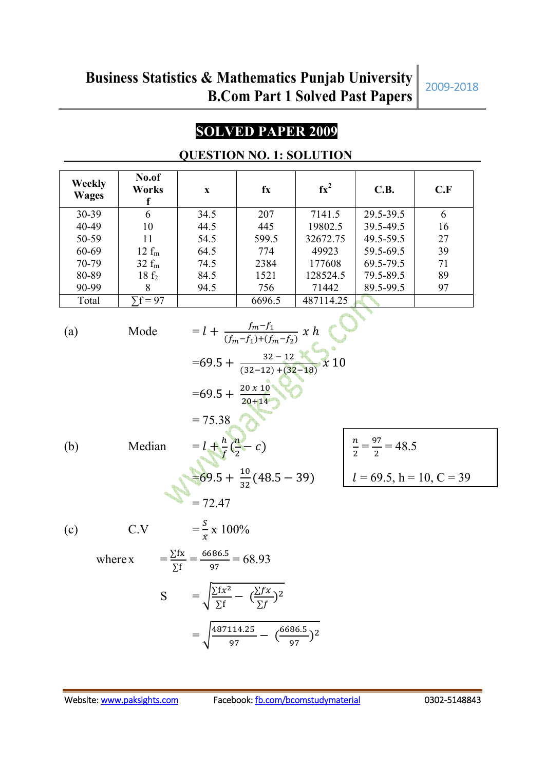## **SOLVED PAPER 2009**

|                        |                               | ULDI I UITTU.                                                      |                                                                                                         | 1. DULLUIV                                                                                                                                 |           |     |
|------------------------|-------------------------------|--------------------------------------------------------------------|---------------------------------------------------------------------------------------------------------|--------------------------------------------------------------------------------------------------------------------------------------------|-----------|-----|
| Weekly<br><b>Wages</b> | No.of<br>Works<br>$\mathbf f$ | $\mathbf{X}$                                                       | fx                                                                                                      | $fx^2$                                                                                                                                     | C.B.      | C.F |
| 30-39                  | 6                             | 34.5                                                               | 207                                                                                                     | 7141.5                                                                                                                                     | 29.5-39.5 | 6   |
| 40-49                  | 10                            | 44.5                                                               | 445                                                                                                     | 19802.5                                                                                                                                    | 39.5-49.5 | 16  |
| 50-59                  | 11                            | 54.5                                                               | 599.5                                                                                                   | 32672.75                                                                                                                                   | 49.5-59.5 | 27  |
| 60-69                  | $12 f_m$                      | 64.5                                                               | 774                                                                                                     | 49923                                                                                                                                      | 59.5-69.5 | 39  |
| 70-79                  | $32 f_m$                      | 74.5                                                               | 2384                                                                                                    | 177608                                                                                                                                     | 69.5-79.5 | 71  |
| 80-89                  | 18f <sub>2</sub>              | 84.5                                                               | 1521                                                                                                    | 128524.5                                                                                                                                   | 79.5-89.5 | 89  |
| 90-99                  | 8                             | 94.5                                                               | 756                                                                                                     | 71442                                                                                                                                      | 89.5-99.5 | 97  |
| Total                  | $\overline{\Sigma f} = 97$    |                                                                    | 6696.5                                                                                                  | 487114.25                                                                                                                                  |           |     |
|                        |                               |                                                                    | $= l + \frac{f_m - f_1}{(f_m - f_1) + (f_m - f_2)} x h$<br>=69.5 + $\frac{32-12}{(32-12)+(32-18)}$ x 10 |                                                                                                                                            |           |     |
| (b)                    | Median                        |                                                                    |                                                                                                         | =69.5 + $\frac{20 \times 10}{20+14}$<br>= 75.38<br>$u = l + \frac{h}{f}(\frac{n}{2} - c)$<br>=69.5 + $\frac{10}{32}(48.5 - 39)$<br>= 72.47 |           |     |
| (c)                    |                               | C.V $= \frac{S}{\sigma} x 100\%$                                   |                                                                                                         |                                                                                                                                            |           |     |
|                        | where x                       | $=\frac{\sum fx}{\sum f}=\frac{6686.5}{97}=68.93$                  |                                                                                                         |                                                                                                                                            |           |     |
|                        |                               | S = $\sqrt{\frac{\sum fx^2}{\sum f} - (\frac{\sum fx}{\sum f})^2}$ |                                                                                                         |                                                                                                                                            |           |     |

## **QUESTION NO. 1: SOLUTION**

 $=\sqrt{\frac{487114.25}{97}}$ 

 $\frac{(114.25)}{97} - (\frac{6686.5}{97})^2$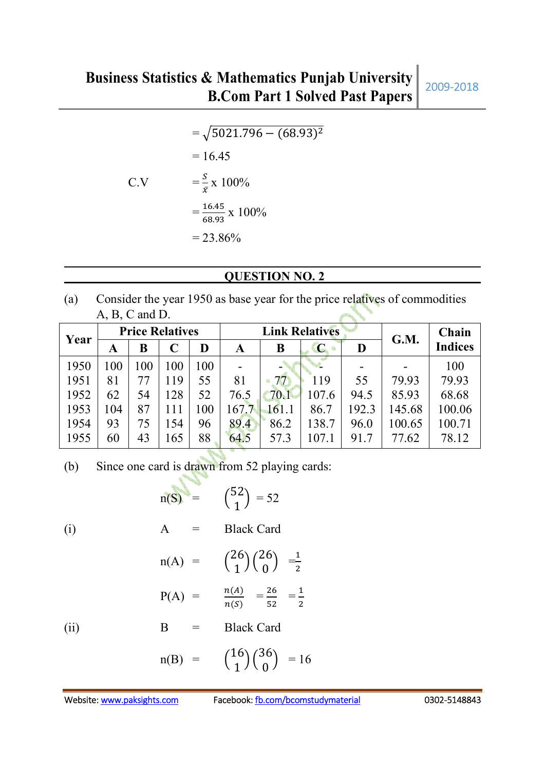$=\sqrt{5021.796-(68.93)^2}$  $= 16.45$ C.V  $= \frac{s}{\bar{x}} \times 100\%$  $=$ 16.45  $\frac{10.43}{68.93}$  x 100%  $= 23.86\%$ 

## **QUESTION NO. 2**

(a) Consider the year 1950 as base year for the price relatives of commodities A, B, C and D.

| Year |     |     | <b>Price Relatives</b> |    |      | <b>Link Relatives</b> |             |       | G.M.   | Chain          |
|------|-----|-----|------------------------|----|------|-----------------------|-------------|-------|--------|----------------|
|      | A   | B   | C                      | D  | A    | B                     | $\mathbf C$ | D     |        | <b>Indices</b> |
| 1950 | 100 | 100 | 100                    | 00 |      |                       |             |       |        | 100            |
| 1951 | 81  |     | 119                    | 55 | 81   | 77.                   | 119         | 55    | 79.93  | 79.93          |
| 1952 | 62  | 54  | 128                    | 52 | 76.5 | 70.1                  | 107.6       | 94.5  | 85.93  | 68.68          |
| 1953 | 104 | 87  |                        | 00 | 167. |                       | 86.7        | 192.3 | 145.68 | 100.06         |
| 1954 | 93  | 75  | 154                    | 96 | 89.4 | 86.2                  | 138.7       | 96.0  | 100.65 | 100.71         |
| 1955 | 60  | 43  | 165                    | 88 | 64.5 | 57.3                  | 107.1       | 91.7  | 77.62  | 78.12          |

(b) Since one card is drawn from 52 playing cards:

(i)  
\n
$$
n(S) = {52 \choose 1} = 52
$$
\n
$$
A = Black Card
$$
\n
$$
n(A) = {26 \choose 1} {26 \choose 0} = \frac{1}{2}
$$
\n
$$
P(A) = \frac{n(A)}{n(S)} = \frac{26}{52} = \frac{1}{2}
$$
\n(ii)  
\n
$$
R = Black Card
$$

(11)  $\qquad \qquad B = \qquad$  Black Card

$$
n(B) = {16 \choose 1}{36 \choose 0} = 16
$$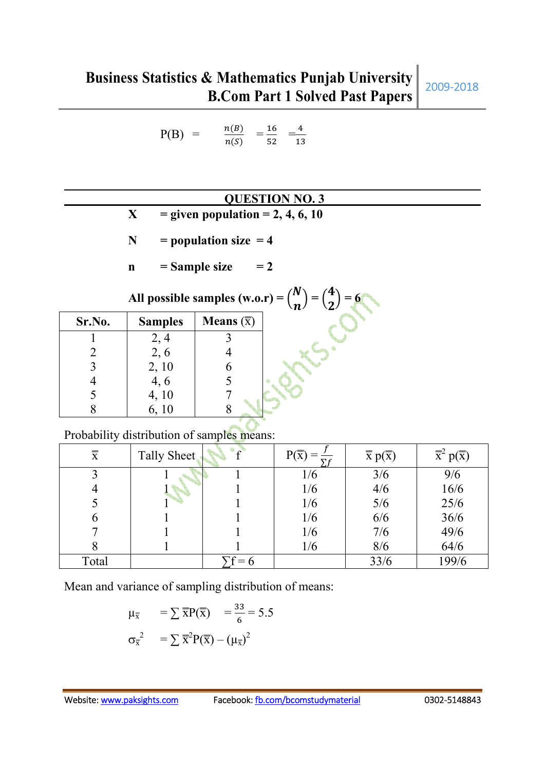$$
P(B) = \frac{n(B)}{n(S)} = \frac{16}{52} = \frac{4}{13}
$$

## **QUESTION NO. 3**

- $X =$  **given population = 2, 4, 6, 10**
- $N = population size = 4$
- $\mathbf{n} =$  Sample size  $= 2$

**All possible samples (w.o.r)** =  $\binom{N}{n}$  $\boldsymbol{n}$  $) = {4 \choose 2}$  $\mathbf{z}$  $) = 6$ 

| Sr.No. | <b>Samples</b> | <b>Means</b> $(\overline{x})$ |
|--------|----------------|-------------------------------|
|        | 2,4            |                               |
| 2      | 2, 6           |                               |
| 3      | 2, 10          |                               |
|        | 4,6            |                               |
|        | 4, 10          |                               |
|        | 6, 10          |                               |

## Probability distribution of samples means:

| $\overline{\overline{x}}$ | Tally Sheet | $P(\overline{x})$<br>$\Sigma f$ | $\overline{\overline{x}} p(\overline{\overline{x}})$ | $\overline{\overline{x}}^2$<br>$\frac{1}{2} p(\overline{x})$ |
|---------------------------|-------------|---------------------------------|------------------------------------------------------|--------------------------------------------------------------|
|                           |             | 1/6                             | 3/6                                                  | 9/6                                                          |
|                           |             | 1/6                             | 4/6                                                  | 16/6                                                         |
|                           |             | 1/6                             | 5/6                                                  | 25/6                                                         |
| b                         |             | 1/6                             | 6/6                                                  | 36/6                                                         |
|                           |             | 1/6                             | 7/6                                                  | 49/6                                                         |
| 8                         |             | 1/6                             | 8/6                                                  | 64/6                                                         |
| Total                     |             |                                 | 33/6                                                 | 199/6                                                        |

Mean and variance of sampling distribution of means:

$$
\mu_{\overline{x}} = \sum \overline{x} P(\overline{x}) = \frac{33}{6} = 5.5
$$

$$
\sigma_{\overline{x}}^2 = \sum \overline{x}^2 P(\overline{x}) - (\mu_{\overline{x}})^2
$$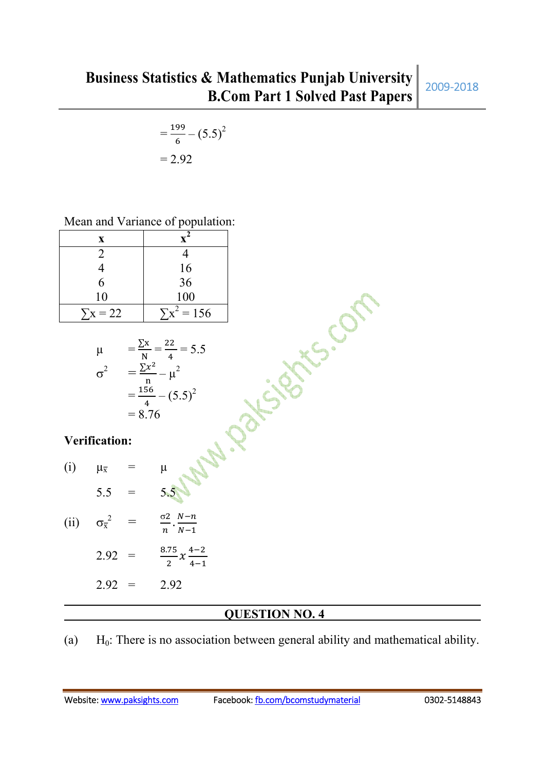$$
=\frac{199}{6} - (5.5)^2
$$

$$
= 2.92
$$

| Mean and Variance of population: |  |
|----------------------------------|--|
|----------------------------------|--|

| X               |                        |
|-----------------|------------------------|
|                 |                        |
|                 | $\frac{16}{36}$<br>100 |
| 6               |                        |
| 10              |                        |
| $\Sigma x = 22$ | $\Sigma x^2 = 156$     |
|                 |                        |

| μ | 22<br>$= 5.5$<br>N |
|---|--------------------|
|   | $\mu^2$<br>n       |
|   | 156<br>$(5.5)^2$   |
|   | $= 8.76$           |

## **Verification:**

| (i)  | $\mu_{\overline{x}}$      |   | μ                                                   |
|------|---------------------------|---|-----------------------------------------------------|
|      | 5.5                       |   | 5.5                                                 |
| (ii) | $\sigma_{\overline{x}}^2$ | ᆖ | $\sigma$ 2 $N-n$<br>$\overline{n}$ $\overline{N-1}$ |
|      |                           |   |                                                     |

$$
2.92 = \frac{8.75}{2} x \frac{4-2}{4-1}
$$

$$
2.92 = 2.92
$$

## **QUESTION NO. 4**

(a)  $H_0$ : There is no association between general ability and mathematical ability.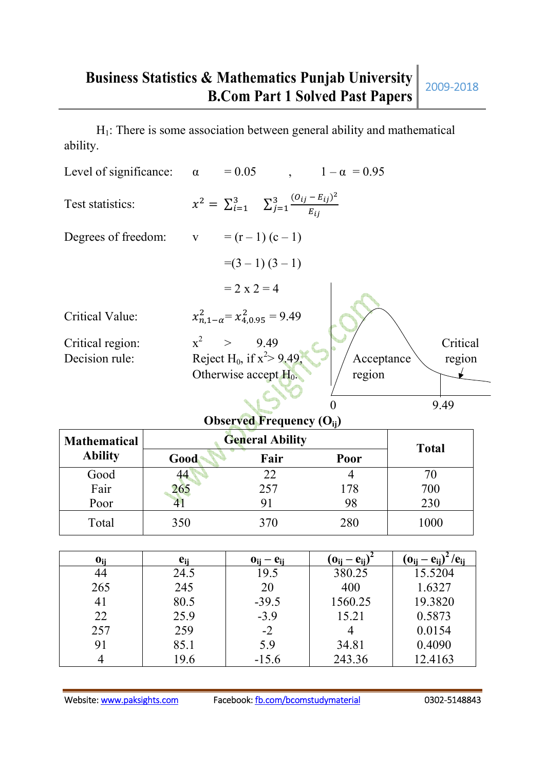$H<sub>1</sub>$ : There is some association between general ability and mathematical ability.

| Level of significance: $\alpha$      | $= 0.05$ ,<br>$1 - \alpha = 0.95$                                    |
|--------------------------------------|----------------------------------------------------------------------|
| Test statistics:                     | $x^2 = \sum_{i=1}^3 \sum_{j=1}^3 \frac{(o_{ij} - E_{ij})^2}{E_{ij}}$ |
| Degrees of freedom: $v = (r-1)(c-1)$ |                                                                      |
|                                      | $=(3-1)(3-1)$                                                        |
|                                      | $= 2 \times 2 = 4$                                                   |
| Critical Value:                      | $x_{n,1-\alpha}^2 = x_{4,0.95}^2 = 9.49$                             |
| Critical region:                     | $x^2$ > 9.49<br>Critical                                             |
| Decision rule:                       | Reject H <sub>0</sub> , if $x^2 > 9.49$ ,<br>Acceptance<br>region    |
|                                      | Otherwise accept $H_0$ .<br>region                                   |
|                                      |                                                                      |
|                                      | 9.49                                                                 |

## **Observed Frequency (Oij)**

| <b>Mathematical</b> | <b>General Ability</b> | <b>Total</b> |      |      |
|---------------------|------------------------|--------------|------|------|
| <b>Ability</b>      | Good                   | Fair         | Poor |      |
| Good                | 44                     | 22           |      | 70   |
| Fair                | 265                    | 257          | 178  | 700  |
| Poor                |                        |              | 98   | 230  |
| Total               | 350                    | 370          | 280  | 1000 |

| $\mathbf{0}_{\mathbf{ii}}$ | e <sub>ii</sub> | $\mathbf{0}_{ii} - \mathbf{e}_{ii}$ | $\mathbf{0}$ ii $-\mathbf{e}$ ii | $\mathbf{.0_{ii}} - \mathbf{e_{ii}}$<br>'C <sub>ii</sub> |
|----------------------------|-----------------|-------------------------------------|----------------------------------|----------------------------------------------------------|
| 44                         | 24.5            | 19.5                                | 380.25                           | 15.5204                                                  |
| 265                        | 245             | 20                                  | 400                              | 1.6327                                                   |
| 41                         | 80.5            | $-39.5$                             | 1560.25                          | 19.3820                                                  |
| 22                         | 25.9            | $-3.9$                              | 15.21                            | 0.5873                                                   |
| 257                        | 259             | $-2$                                |                                  | 0.0154                                                   |
| 91                         | 85.1            | 5.9                                 | 34.81                            | 0.4090                                                   |
|                            | 19.6            | $-15.6$                             | 243.36                           | 12.4163                                                  |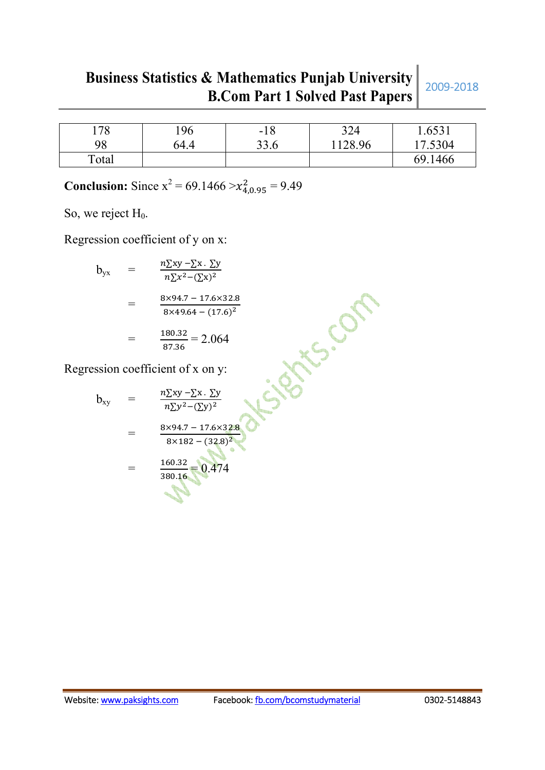# **Business Statistics & Mathematics Punjab University B.Com Part 1 Solved Past Papers** 2009-2018

| 178   | 196  | $-18$ | 324     | 1.6531  |
|-------|------|-------|---------|---------|
| 98    | 64.4 | 33.6  | 1128.96 | 17.5304 |
| Total |      |       |         | 69.1466 |

**Conclusion:** Since  $x^2 = 69.1466 > x_{4,0.95}^2 = 9.49$ 

So, we reject  $H_0$ .

Regression coefficient of y on x:

$$
b_{yx} = \frac{n\sum xy - \sum x \cdot \sum y}{n\sum x^2 - (\sum x)^2}
$$
  
= 
$$
\frac{8 \times 94.7 - 17.6 \times 32.8}{8 \times 49.64 - (17.6)^2}
$$
  
= 
$$
\frac{180.32}{87.36} = 2.064
$$

Regression coefficient of x on y:

$$
= \frac{8 \times 94.7 - 17.6 \times 32.8}{8 \times 49.64 - (17.6)^2}
$$
\n
$$
= \frac{180.32}{87.36} = 2.064
$$
\n\nRegression coefficient of x on y:\n
$$
b_{xy} = \frac{n \sum xy - \sum x \cdot \sum y}{n \sum y^2 - (\sum y)^2}
$$
\n
$$
= \frac{8 \times 94.7 - 17.6 \times 32.8}{8 \times 182 - (32.8)^2}
$$
\n
$$
= \frac{160.32}{380.16} = 0.474
$$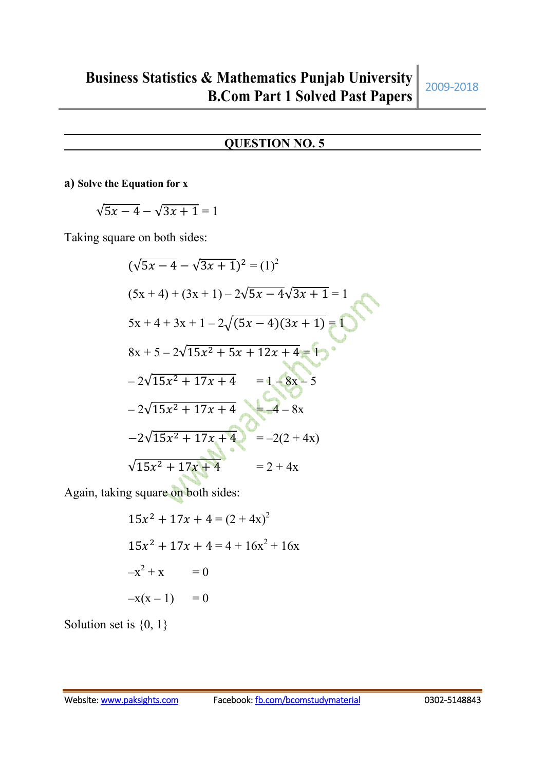## **QUESTION NO. 5**

#### **a) Solve the Equation for x**

$$
\sqrt{5x-4}-\sqrt{3x+1}=1
$$

Taking square on both sides:

$$
(\sqrt{5x - 4} - \sqrt{3x + 1})^2 = (1)^2
$$
  
(5x + 4) + (3x + 1) - 2 $\sqrt{5x - 4}\sqrt{3x + 1} = 1$   
5x + 4 + 3x + 1 - 2 $\sqrt{(5x - 4)(3x + 1)} = 1$   
8x + 5 - 2 $\sqrt{15x^2 + 5x + 12x + 4} = 1$   
-2 $\sqrt{15x^2 + 17x + 4} = 1 - 8x - 5$   
-2 $\sqrt{15x^2 + 17x + 4} = -2(2 + 4x)$   
 $\sqrt{15x^2 + 17x + 4} = 2 + 4x$ 

Again, taking square on both sides:

$$
15x2 + 17x + 4 = (2 + 4x)2
$$
  

$$
15x2 + 17x + 4 = 4 + 16x2 + 16x
$$
  

$$
-x2 + x = 0
$$
  

$$
-x(x-1) = 0
$$

Solution set is  $\{0, 1\}$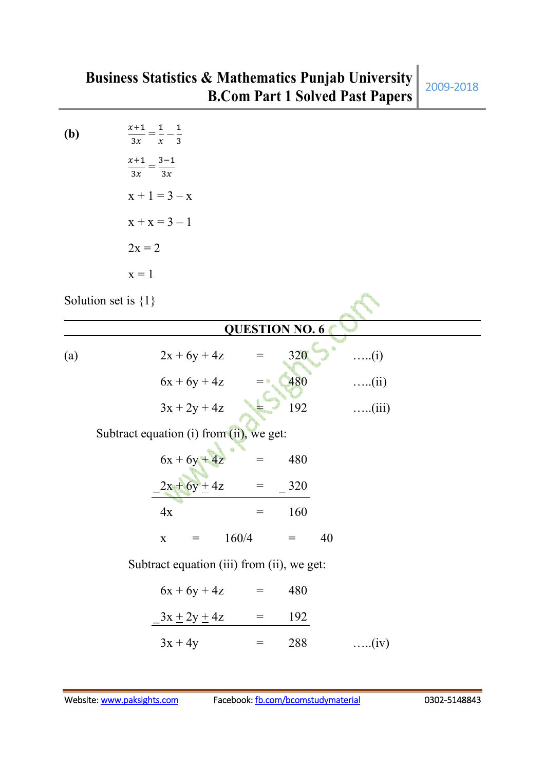**(b)**  $x+1$  $\frac{x+1}{3x} = \frac{1}{x}$  $\frac{1}{x} - \frac{1}{3}$ 3  $x+1$  $\frac{x+1}{3x} = \frac{3-1}{3x}$  $3x$  $x + 1 = 3 - x$  $x + x = 3 - 1$  $2x = 2$  $x = 1$ 

Solution set is  ${1}$ 

|                  |                                            |             |                    |       |                                     | <b>QUESTION NO. 6</b> |    |               |  |  |  |  |
|------------------|--------------------------------------------|-------------|--------------------|-------|-------------------------------------|-----------------------|----|---------------|--|--|--|--|
| $\left(a\right)$ |                                            |             | $2x + 6y + 4z$     |       | $\!\!\!=\!\!\!\!$                   | 320                   |    | $\dots(i)$    |  |  |  |  |
|                  |                                            |             | $6x + 6y + 4z$     |       | $= 0$                               | 480                   |    | $\ldots$ (ii) |  |  |  |  |
|                  |                                            |             | $3x + 2y + 4z$     |       |                                     | 192                   |    | $\dots$ (iii) |  |  |  |  |
|                  | Subtract equation (i) from (ii), we get:   |             |                    |       |                                     |                       |    |               |  |  |  |  |
|                  |                                            |             | $6x + 6y + 4z$     |       |                                     | 480                   |    |               |  |  |  |  |
|                  |                                            |             | $2x \pm 6y \pm 4z$ |       | $=$ $\,$                            | 320                   |    |               |  |  |  |  |
|                  |                                            | 4x          |                    |       | $\hspace*{0.4em} = \hspace*{0.4em}$ | 160                   |    |               |  |  |  |  |
|                  |                                            | $\mathbf X$ | $=$                | 160/4 |                                     | $=$                   | 40 |               |  |  |  |  |
|                  | Subtract equation (iii) from (ii), we get: |             |                    |       |                                     |                       |    |               |  |  |  |  |
|                  |                                            |             | $6x + 6y + 4z$     |       | $\!\!\!=\!\!\!\!$                   | 480                   |    |               |  |  |  |  |
|                  |                                            |             | $3x \pm 2y \pm 4z$ |       | $\hspace{1.6cm} = \hspace{1.6cm}$   | 192                   |    |               |  |  |  |  |
|                  |                                            | $3x + 4y$   |                    |       | $=$                                 | 288                   |    | (iv)          |  |  |  |  |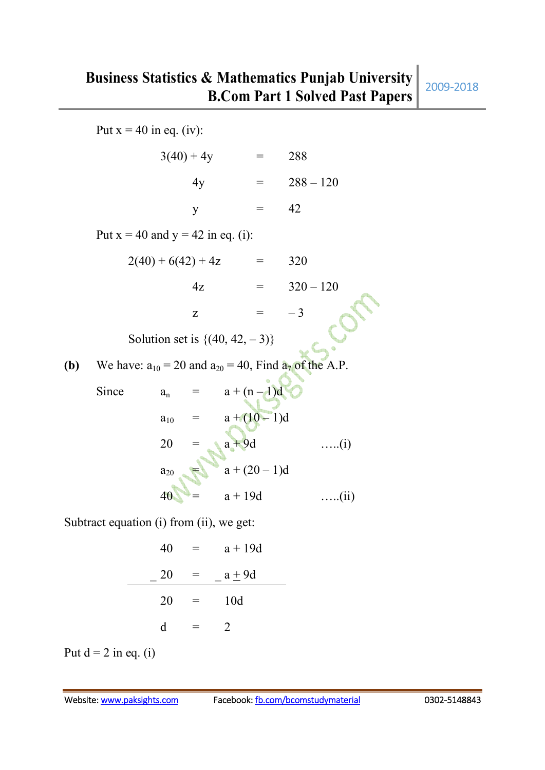Put  $x = 40$  in eq. (iv):  $3(40) + 4y = 288$  $4y = 288 - 120$  $y = 42$ Put  $x = 40$  and  $y = 42$  in eq. (i):  $2(40) + 6(42) + 4z = 320$  $4z = 320 - 120$ z =  $-3$ Solution set is  $\{(40, 42, -3)\}$ **(b)** We have:  $a_{10} = 20$  and  $a_{20} = 40$ , Find  $a_7$  of the A.P. Since  $a_n = a + (n-1)d$  $a_{10} = a + (10-1)d$ <br>  $20 = a + 9d$  $20 = a + 9d$  …..(i)  $a_{20} = a + (20 - 1)d$  $a + 19d$  …..(ii)

Subtract equation (i) from (ii), we get:

$$
40 = a + 19d
$$
  

$$
-20 = a + 9d
$$
  

$$
20 = 10d
$$
  

$$
d = 2
$$

Put  $d = 2$  in eq. (i)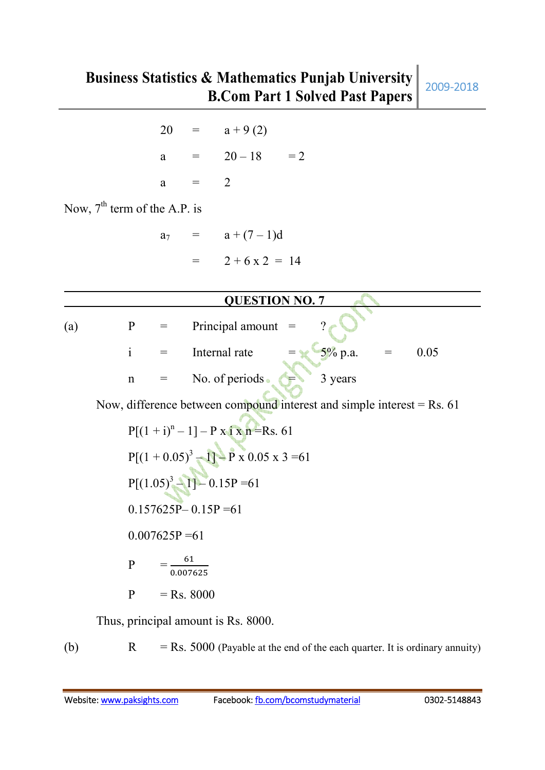|                                |                                                                          |   |       | $20 = a + 9(2)$                                                                           |  |  |  |  |  |
|--------------------------------|--------------------------------------------------------------------------|---|-------|-------------------------------------------------------------------------------------------|--|--|--|--|--|
|                                |                                                                          |   |       | a = $20-18$ = 2                                                                           |  |  |  |  |  |
|                                |                                                                          | a | $=$ 2 |                                                                                           |  |  |  |  |  |
| Now, $7th$ term of the A.P. is |                                                                          |   |       |                                                                                           |  |  |  |  |  |
|                                |                                                                          |   |       | $a_7 = a + (7-1)d$                                                                        |  |  |  |  |  |
|                                |                                                                          |   |       | $= 2 + 6 \times 2 = 14$                                                                   |  |  |  |  |  |
|                                |                                                                          |   |       |                                                                                           |  |  |  |  |  |
|                                |                                                                          |   |       | <b>QUESTION NO. 7</b>                                                                     |  |  |  |  |  |
| (a)                            |                                                                          |   |       | $P = \text{Principal amount } =$<br>$\overline{?}$                                        |  |  |  |  |  |
|                                |                                                                          |   |       | $=$ $\sqrt{5\%}$ p.a.<br>$i =$ Internal rate<br>0.05<br>$\hspace{1.6cm} = \hspace{1.6cm}$ |  |  |  |  |  |
|                                | $\mathbf n$                                                              |   |       | 3 years<br>$=$ No. of periods                                                             |  |  |  |  |  |
|                                | Now, difference between compound interest and simple interest = $Rs. 61$ |   |       |                                                                                           |  |  |  |  |  |

$$
P[(1 + i)^{n} - 1] - P x i x n = Rs. 61
$$
  
\n
$$
P[(1 + 0.05)^{3} - 1] - P x 0.05 x 3 = 61
$$
  
\n
$$
P[(1.05)^{3} - 1] - 0.15P = 61
$$
  
\n
$$
0.157625P - 0.15P = 61
$$
  
\n
$$
0.007625P = 61
$$
  
\n
$$
P = \frac{61}{0.007625}
$$
  
\n
$$
P = Rs. 8000
$$

Thus, principal amount is Rs. 8000.

(b)  $R = Rs. 5000$  (Payable at the end of the each quarter. It is ordinary annuity)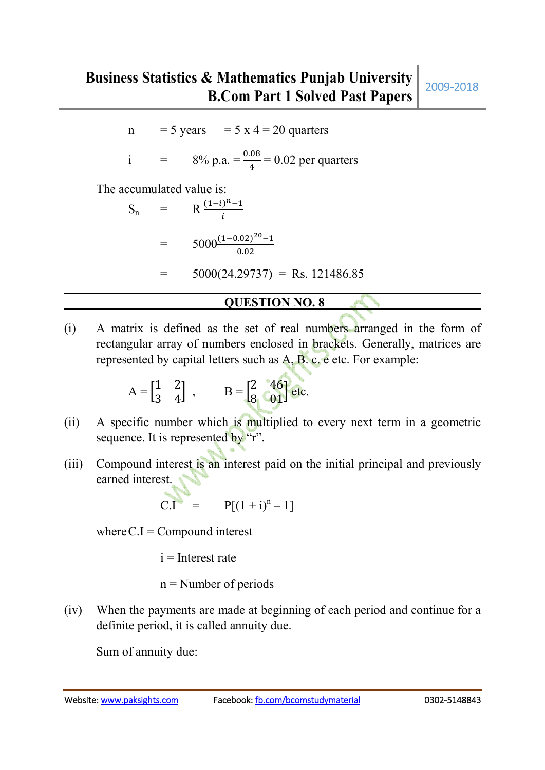n = 5 years =  $5 \times 4 = 20$  quarters

i = 
$$
8\% \text{ p.a.} = \frac{0.08}{4} = 0.02 \text{ per quarters}
$$

The accumulated value is:

$$
S_n = R \frac{(1-i)^{n} - 1}{i}
$$
  
=  $5000 \frac{(1-0.02)^{20} - 1}{0.02}$   
=  $5000(24.29737) = \text{Rs. } 121486.85$ 

## **QUESTION NO. 8**

(i) A matrix is defined as the set of real numbers arranged in the form of rectangular array of numbers enclosed in brackets. Generally, matrices are represented by capital letters such as A, B. c. e etc. For example:

$$
A = \begin{bmatrix} 1 & 2 \\ 3 & 4 \end{bmatrix} , \qquad B = \begin{bmatrix} 2 & 46 \\ 8 & 01 \end{bmatrix} \text{ etc.}
$$

- (ii) A specific number which is multiplied to every next term in a geometric sequence. It is represented by "r".
- (iii) Compound interest is an interest paid on the initial principal and previously earned interest.

$$
C.I = P[(1 + i)^n - 1]
$$

where  $C.I =$  Compound interest

 $i =$ Interest rate

 $n =$ Number of periods

(iv) When the payments are made at beginning of each period and continue for a definite period, it is called annuity due.

Sum of annuity due: